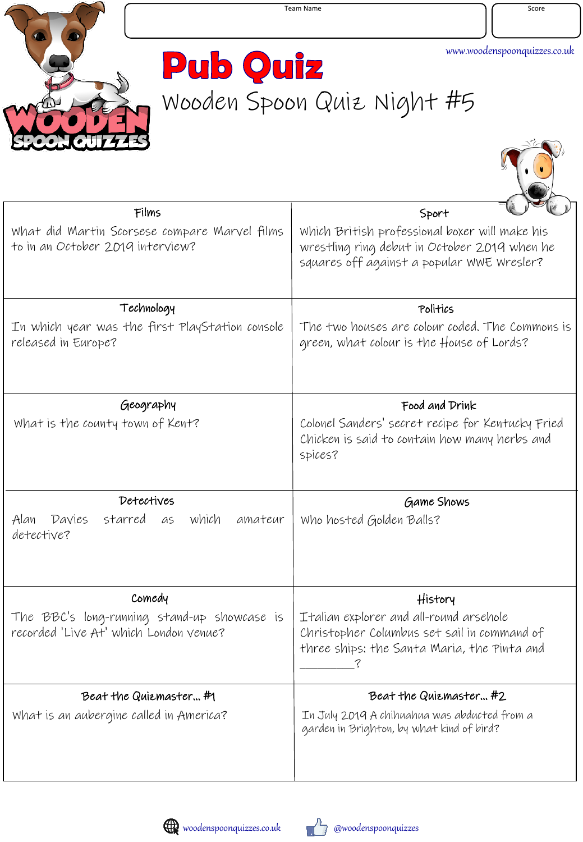

T

**Pub Quiz** Wooden Spoon Quiz Night #5

| Films                                                                                 | Sport                                                                                                                                        |
|---------------------------------------------------------------------------------------|----------------------------------------------------------------------------------------------------------------------------------------------|
| What did Martin Scorsese compare Marvel films<br>to in an October 2019 interview?     | Which British professional boxer will make his<br>wrestling ring debut in October 2019 when he<br>squares off against a popular WWE Wresler? |
| Technology                                                                            | Politics                                                                                                                                     |
| In which year was the first PlayStation console<br>released in Europe?                | The two houses are colour coded, The Commons is<br>green, what colour is the House of Lords?                                                 |
| Geography                                                                             | Food and Drink                                                                                                                               |
| What is the county town of Kent?                                                      | Colonel Sanders' secret recipe for Kentucky Fried<br>Chicken is said to contain how many herbs and<br>spices?                                |
| Detectives                                                                            | Game Shows                                                                                                                                   |
| starred<br>which<br>Alan<br>Davies<br>amateur<br>as<br>detective?                     | Who hosted Golden Balls?                                                                                                                     |
| Comedy                                                                                | History                                                                                                                                      |
| The BBC's long-running stand-up showcase is<br>recorded 'Live At' which London venue? | Italian explorer and all-round arsehole<br>Christopher Columbus set sail in command of<br>three ships: the Santa Maria, the Pinta and<br>?   |
| Beat the Quizmaster#1                                                                 | Beat the Quizmaster#2                                                                                                                        |
| What is an aubergine called in America?                                               | In July 2019 A chihuahua was abducted from a<br>garden in Brighton, by what kind of bird?                                                    |